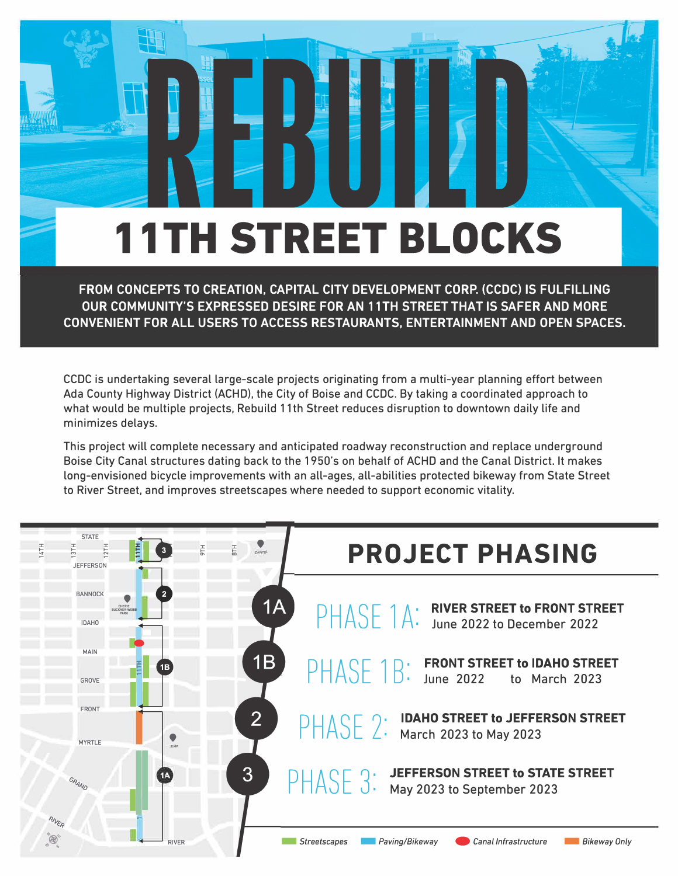## **11TH STREET BLOCKS**

FROM CONCEPTS TO CREATION, CAPITAL CITY DEVELOPMENT CORP. (CCDC) IS FULFILLING OUR COMMUNITY'S EXPRESSED DESIRE FOR AN 11TH STREET THAT IS SAFER AND MORE CONVENIENT FOR ALL USERS TO ACCESS RESTAURANTS, ENTERTAINMENT AND OPEN SPACES.

CCDC is undertaking several large-scale projects originating from a multi-year planning effort between Ada County Highway District (ACHD), the City of Boise and CCDC. By taking a coordinated approach to what would be multiple projects, Rebuild 11th Street reduces disruption to downtown daily life and minimizes delavs.

This project will complete necessary and anticipated roadway reconstruction and replace underground Boise City Canal structures dating back to the 1950's on behalf of ACHD and the Canal District. It makes long-envisioned bicycle improvements with an all-ages, all-abilities protected bikeway from State Street to River Street, and improves streetscapes where needed to support economic vitality.